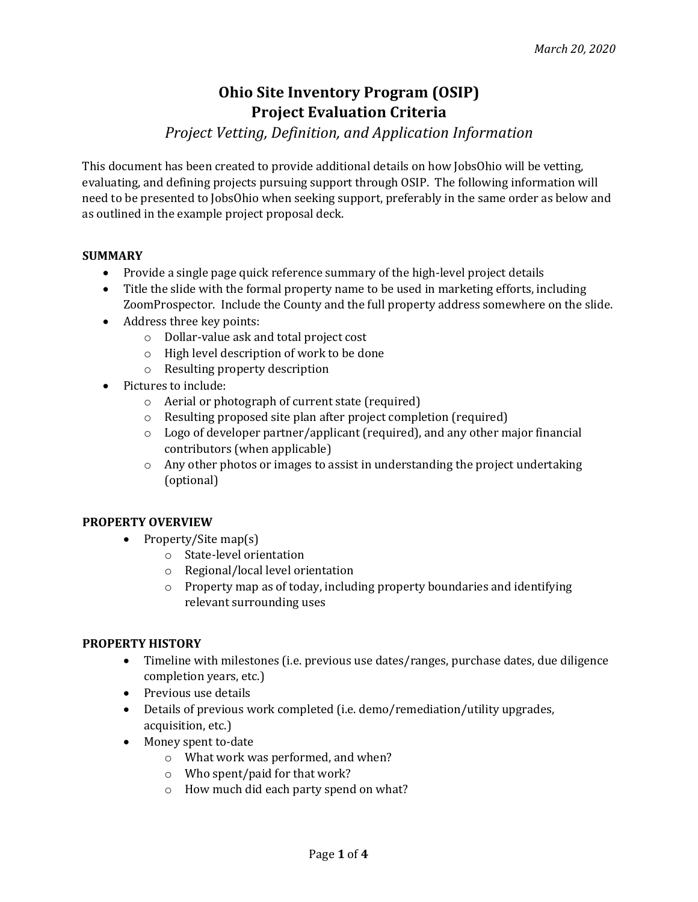# **Ohio Site Inventory Program (OSIP) Project Evaluation Criteria**

## *Project Vetting, Definition, and Application Information*

This document has been created to provide additional details on how JobsOhio will be vetting, evaluating, and defining projects pursuing support through OSIP. The following information will need to be presented to JobsOhio when seeking support, preferably in the same order as below and as outlined in the example project proposal deck.

#### **SUMMARY**

- Provide a single page quick reference summary of the high-level project details
- Title the slide with the formal property name to be used in marketing efforts, including ZoomProspector. Include the County and the full property address somewhere on the slide.
- Address three key points:
	- $\circ$  Dollar-value ask and total project cost
	- $\circ$  High level description of work to be done
	- o Resulting property description
- Pictures to include:
	- $\circ$  Aerial or photograph of current state (required)
	- $\circ$  Resulting proposed site plan after project completion (required)
	- $\circ$  Logo of developer partner/applicant (required), and any other major financial contributors (when applicable)
	- $\circ$  Any other photos or images to assist in understanding the project undertaking (optional)

#### **PROPERTY OVERVIEW**

- Property/Site map(s)
	- o State-level orientation
	- $\circ$  Regional/local level orientation
	- $\circ$  Property map as of today, including property boundaries and identifying relevant surrounding uses

#### **PROPERTY HISTORY**

- Timeline with milestones (i.e. previous use dates/ranges, purchase dates, due diligence completion years, etc.)
- Previous use details
- Details of previous work completed (i.e. demo/remediation/utility upgrades, acquisition, etc.)
- Money spent to-date
	- $\circ$  What work was performed, and when?
	- $\circ$  Who spent/paid for that work?
	- o How much did each party spend on what?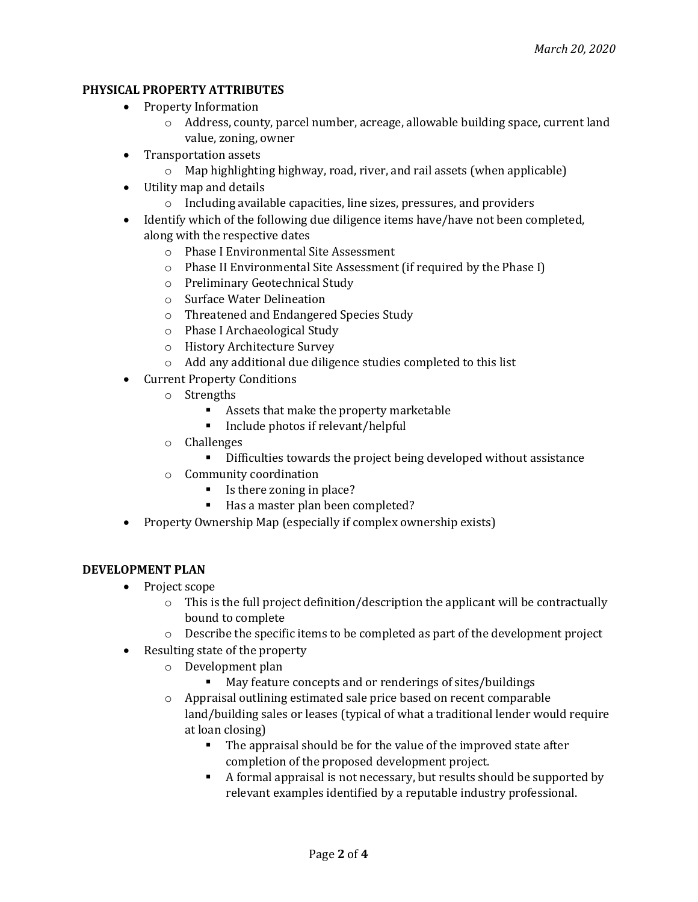### **PHYSICAL PROPERTY ATTRIBUTES**

- Property Information
	- $\circ$  Address, county, parcel number, acreage, allowable building space, current land value, zoning, owner
- Transportation assets
	- $\circ$  Map highlighting highway, road, river, and rail assets (when applicable)
- Utility map and details
	- $\circ$  Including available capacities, line sizes, pressures, and providers
- Identify which of the following due diligence items have/have not been completed, along with the respective dates
	- o Phase I Environmental Site Assessment
	- $\circ$  Phase II Environmental Site Assessment (if required by the Phase I)
	- o Preliminary Geotechnical Study
	- o Surface Water Delineation
	- o Threatened and Endangered Species Study
	- $\circ$  Phase I Archaeological Study
	- o History Architecture Survey
	- $\circ$  Add any additional due diligence studies completed to this list
- Current Property Conditions
	- o Strengths
		- Assets that make the property marketable
		- Include photos if relevant/helpful
	- o Challenges
		- Difficulties towards the project being developed without assistance
	- $\circ$  Community coordination
		- Is there zoning in place?
		- Has a master plan been completed?
- Property Ownership Map (especially if complex ownership exists)

#### **DEVELOPMENT PLAN**

- Project scope
	- $\circ$  This is the full project definition/description the applicant will be contractually bound to complete
	- $\circ$  Describe the specific items to be completed as part of the development project
- Resulting state of the property
	- o Development plan
		- May feature concepts and or renderings of sites/buildings
	- $\circ$  Appraisal outlining estimated sale price based on recent comparable land/building sales or leases (typical of what a traditional lender would require at loan closing)
		- The appraisal should be for the value of the improved state after completion of the proposed development project.
		- A formal appraisal is not necessary, but results should be supported by relevant examples identified by a reputable industry professional.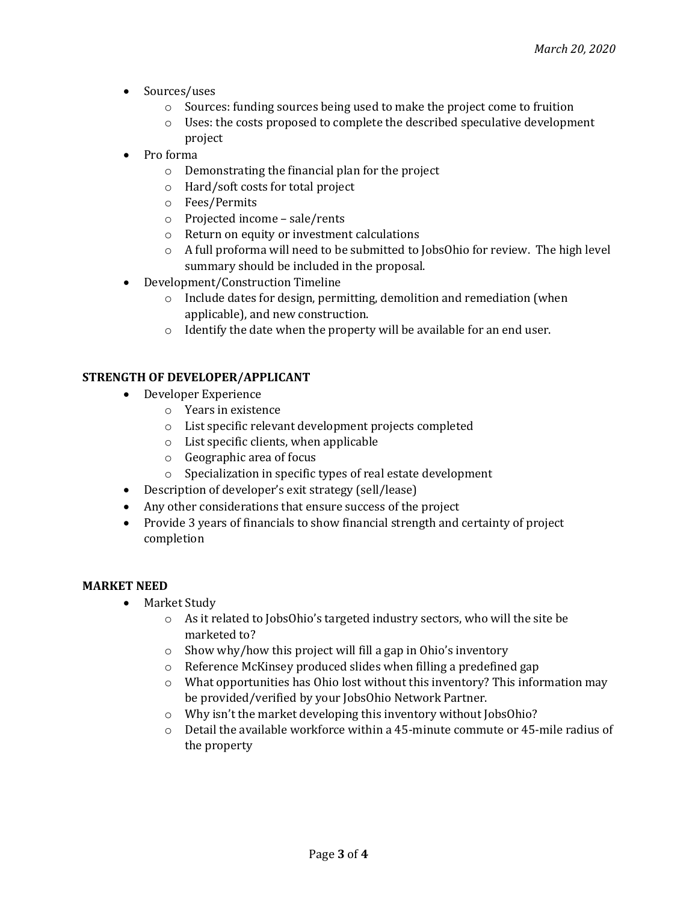- Sources/uses
	- o Sources: funding sources being used to make the project come to fruition
	- $\circ$  Uses: the costs proposed to complete the described speculative development project
- Pro forma
	- $\circ$  Demonstrating the financial plan for the project
	- $\circ$  Hard/soft costs for total project
	- o Fees/Permits
	- $\circ$  Projected income sale/rents
	- $\circ$  Return on equity or investment calculations
	- $\circ$  A full proforma will need to be submitted to JobsOhio for review. The high level summary should be included in the proposal.
- Development/Construction Timeline
	- $\circ$  Include dates for design, permitting, demolition and remediation (when applicable), and new construction.
	- $\circ$  Identify the date when the property will be available for an end user.

#### **STRENGTH OF DEVELOPER/APPLICANT**

- Developer Experience
	- $\circ$  Years in existence
	- o List specific relevant development projects completed
	- $\circ$  List specific clients, when applicable
	- $\circ$  Geographic area of focus
	- $\circ$  Specialization in specific types of real estate development
- Description of developer's exit strategy (sell/lease)
- Any other considerations that ensure success of the project
- Provide 3 years of financials to show financial strength and certainty of project completion

#### **MARKET NEED**

- Market Study
	- $\circ$  As it related to JobsOhio's targeted industry sectors, who will the site be marketed to?
	- $\circ$  Show why/how this project will fill a gap in Ohio's inventory
	- $\circ$  Reference McKinsey produced slides when filling a predefined gap
	- $\circ$  What opportunities has Ohio lost without this inventory? This information may be provided/verified by your JobsOhio Network Partner.
	- $\circ$  Why isn't the market developing this inventory without JobsOhio?
	- $\circ$  Detail the available workforce within a 45-minute commute or 45-mile radius of the property